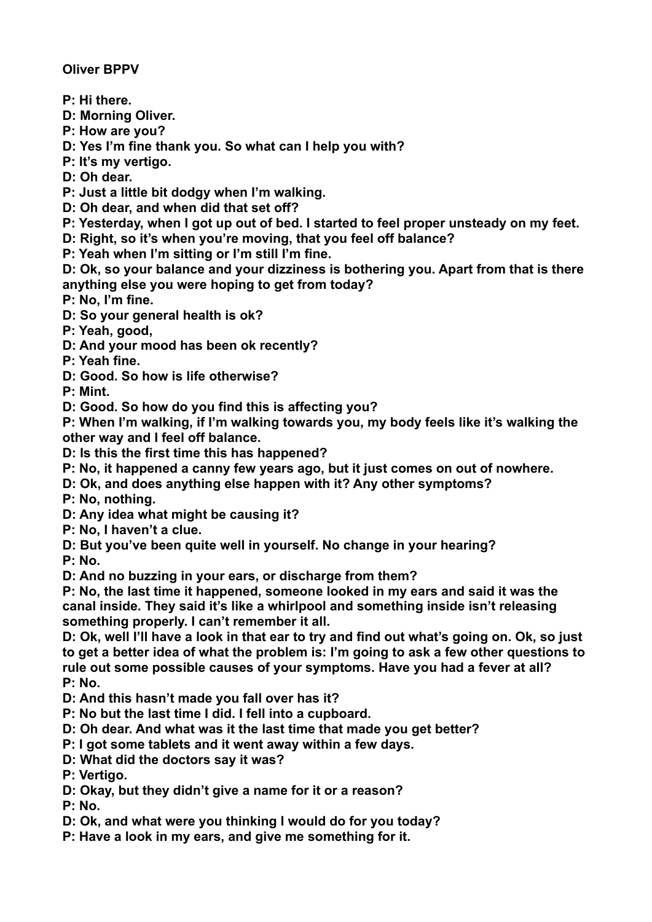**Oliver BPPV** 

- **P: Hi there.**
- **D: Morning Oliver.**
- **P: How are you?**
- **D: Yes I'm fine thank you. So what can I help you with?**
- **P: It's my vertigo.**
- **D: Oh dear.**
- **P: Just a little bit dodgy when I'm walking.**
- **D: Oh dear, and when did that set off?**
- **P: Yesterday, when I got up out of bed. I started to feel proper unsteady on my feet.**
- **D: Right, so it's when you're moving, that you feel off balance?**
- **P: Yeah when I'm sitting or I'm still I'm fine.**
- **D: Ok, so your balance and your dizziness is bothering you. Apart from that is there anything else you were hoping to get from today?**

**P: No, I'm fine.** 

- **D: So your general health is ok?**
- **P: Yeah, good,**
- **D: And your mood has been ok recently?**

**P: Yeah fine.** 

**D: Good. So how is life otherwise?** 

**P: Mint.** 

**D: Good. So how do you find this is affecting you?** 

**P: When I'm walking, if I'm walking towards you, my body feels like it's walking the other way and I feel off balance.** 

**D: Is this the first time this has happened?** 

- **P: No, it happened a canny few years ago, but it just comes on out of nowhere.**
- **D: Ok, and does anything else happen with it? Any other symptoms?**
- **P: No, nothing.**
- **D: Any idea what might be causing it?**
- **P: No, I haven't a clue.**
- **D: But you've been quite well in yourself. No change in your hearing?**

**P: No.** 

**D: And no buzzing in your ears, or discharge from them?** 

**P: No, the last time it happened, someone looked in my ears and said it was the canal inside. They said it's like a whirlpool and something inside isn't releasing something properly. I can't remember it all.** 

**D: Ok, well I'll have a look in that ear to try and find out what's going on. Ok, so just to get a better idea of what the problem is: I'm going to ask a few other questions to rule out some possible causes of your symptoms. Have you had a fever at all? P: No.** 

- **D: And this hasn't made you fall over has it?**
- **P: No but the last time I did. I fell into a cupboard.**
- **D: Oh dear. And what was it the last time that made you get better?**
- **P: I got some tablets and it went away within a few days.**
- **D: What did the doctors say it was?**

**P: Vertigo.** 

**D: Okay, but they didn't give a name for it or a reason?** 

**P: No.** 

- **D: Ok, and what were you thinking I would do for you today?**
- **P: Have a look in my ears, and give me something for it.**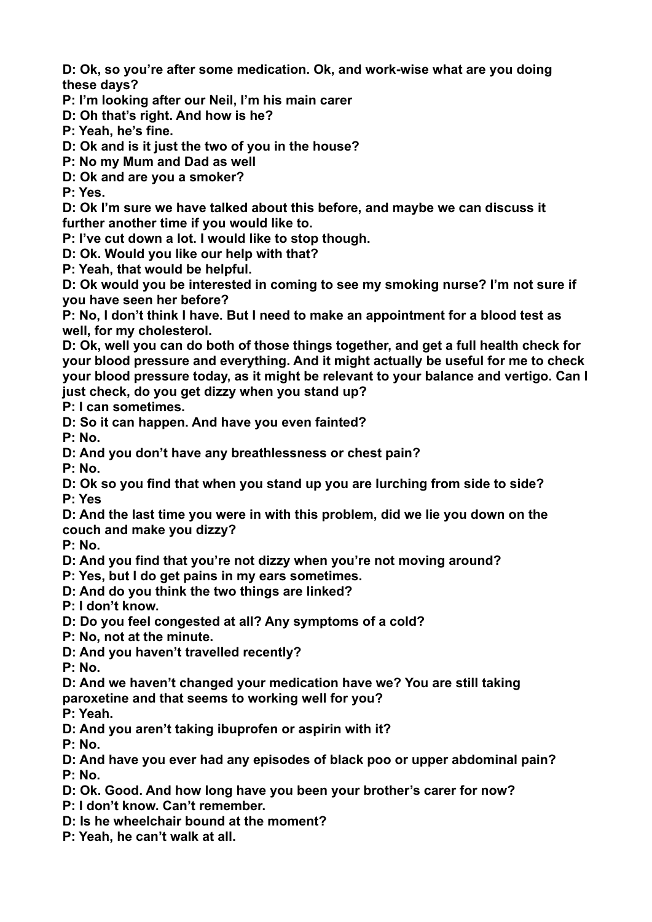**D: Ok, so you're after some medication. Ok, and work-wise what are you doing these days?** 

**P: I'm looking after our Neil, I'm his main carer** 

**D: Oh that's right. And how is he?** 

**P: Yeah, he's fine.** 

**D: Ok and is it just the two of you in the house?** 

**P: No my Mum and Dad as well** 

**D: Ok and are you a smoker?** 

**P: Yes.** 

**D: Ok I'm sure we have talked about this before, and maybe we can discuss it further another time if you would like to.** 

**P: I've cut down a lot. I would like to stop though.** 

**D: Ok. Would you like our help with that?** 

**P: Yeah, that would be helpful.** 

**D: Ok would you be interested in coming to see my smoking nurse? I'm not sure if you have seen her before?** 

**P: No, I don't think I have. But I need to make an appointment for a blood test as well, for my cholesterol.** 

**D: Ok, well you can do both of those things together, and get a full health check for your blood pressure and everything. And it might actually be useful for me to check your blood pressure today, as it might be relevant to your balance and vertigo. Can I just check, do you get dizzy when you stand up?** 

**P: I can sometimes.** 

**D: So it can happen. And have you even fainted?** 

**P: No.** 

**D: And you don't have any breathlessness or chest pain?** 

**P: No.** 

**D: Ok so you find that when you stand up you are lurching from side to side? P: Yes** 

**D: And the last time you were in with this problem, did we lie you down on the couch and make you dizzy?** 

**P: No.** 

**D: And you find that you're not dizzy when you're not moving around?** 

**P: Yes, but I do get pains in my ears sometimes.** 

**D: And do you think the two things are linked?** 

**P: I don't know.** 

**D: Do you feel congested at all? Any symptoms of a cold?** 

**P: No, not at the minute.** 

**D: And you haven't travelled recently?** 

**P: No.** 

**D: And we haven't changed your medication have we? You are still taking paroxetine and that seems to working well for you?** 

**P: Yeah.** 

**D: And you aren't taking ibuprofen or aspirin with it?** 

**P: No.** 

**D: And have you ever had any episodes of black poo or upper abdominal pain? P: No.** 

**D: Ok. Good. And how long have you been your brother's carer for now?** 

**P: I don't know. Can't remember.** 

**D: Is he wheelchair bound at the moment?** 

**P: Yeah, he can't walk at all.**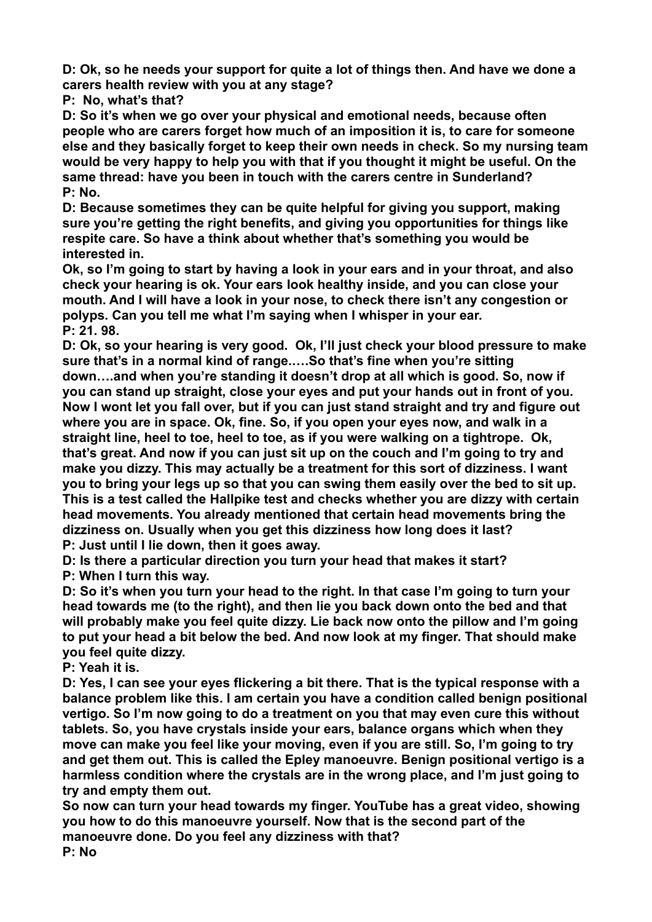**D: Ok, so he needs your support for quite a lot of things then. And have we done a carers health review with you at any stage?** 

**P: No, what's that?** 

**D: So it's when we go over your physical and emotional needs, because often people who are carers forget how much of an imposition it is, to care for someone else and they basically forget to keep their own needs in check. So my nursing team would be very happy to help you with that if you thought it might be useful. On the same thread: have you been in touch with the carers centre in Sunderland? P: No.** 

**D: Because sometimes they can be quite helpful for giving you support, making sure you're getting the right benefits, and giving you opportunities for things like respite care. So have a think about whether that's something you would be interested in.** 

**Ok, so I'm going to start by having a look in your ears and in your throat, and also check your hearing is ok. Your ears look healthy inside, and you can close your mouth. And I will have a look in your nose, to check there isn't any congestion or polyps. Can you tell me what I'm saying when I whisper in your ear. P: 21. 98.** 

**D: Ok, so your hearing is very good. Ok, I'll just check your blood pressure to make sure that's in a normal kind of range.….So that's fine when you're sitting down….and when you're standing it doesn't drop at all which is good. So, now if you can stand up straight, close your eyes and put your hands out in front of you. Now I wont let you fall over, but if you can just stand straight and try and figure out where you are in space. Ok, fine. So, if you open your eyes now, and walk in a straight line, heel to toe, heel to toe, as if you were walking on a tightrope. Ok, that's great. And now if you can just sit up on the couch and I'm going to try and make you dizzy. This may actually be a treatment for this sort of dizziness. I want you to bring your legs up so that you can swing them easily over the bed to sit up. This is a test called the Hallpike test and checks whether you are dizzy with certain head movements. You already mentioned that certain head movements bring the dizziness on. Usually when you get this dizziness how long does it last? P: Just until I lie down, then it goes away.** 

**D: Is there a particular direction you turn your head that makes it start? P: When I turn this way.** 

**D: So it's when you turn your head to the right. In that case I'm going to turn your head towards me (to the right), and then lie you back down onto the bed and that will probably make you feel quite dizzy. Lie back now onto the pillow and I'm going to put your head a bit below the bed. And now look at my finger. That should make you feel quite dizzy.** 

**P: Yeah it is.** 

**D: Yes, I can see your eyes flickering a bit there. That is the typical response with a balance problem like this. I am certain you have a condition called benign positional vertigo. So I'm now going to do a treatment on you that may even cure this without tablets. So, you have crystals inside your ears, balance organs which when they move can make you feel like your moving, even if you are still. So, I'm going to try and get them out. This is called the Epley manoeuvre. Benign positional vertigo is a harmless condition where the crystals are in the wrong place, and I'm just going to try and empty them out.** 

**So now can turn your head towards my finger. YouTube has a great video, showing you how to do this manoeuvre yourself. Now that is the second part of the manoeuvre done. Do you feel any dizziness with that?** 

**P: No**